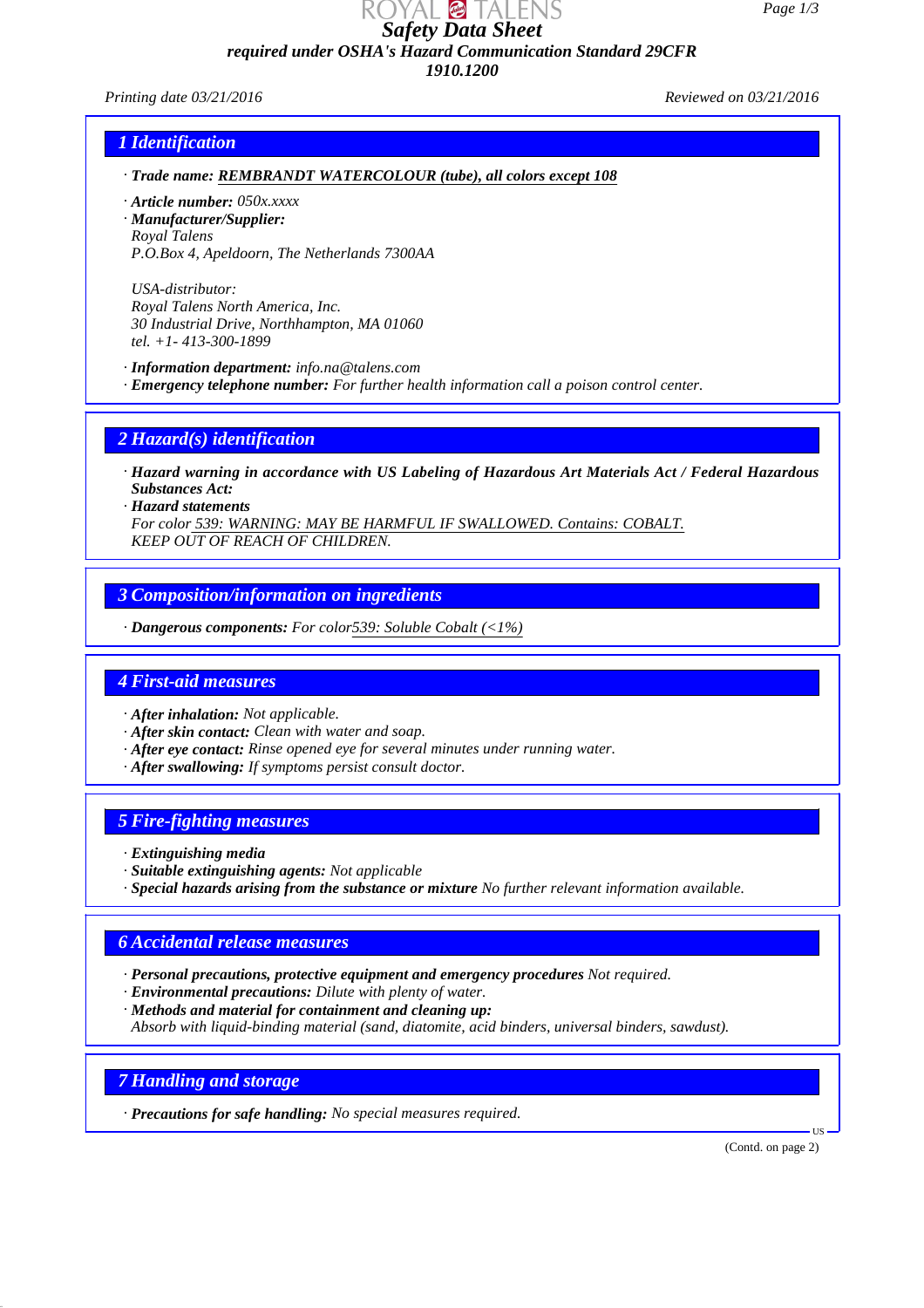*Page 1/3*

*Safety Data Sheet required under OSHA's Hazard Communication Standard 29CFR*

*1910.1200*

*Printing date 03/21/2016 Reviewed on 03/21/2016*

#### *1 Identification*

- *· Trade name: REMBRANDT WATERCOLOUR (tube), all colors except 108*
- *· Article number: 050x.xxxx*
- *· Manufacturer/Supplier: Royal Talens P.O.Box 4, Apeldoorn, The Netherlands 7300AA*

*USA-distributor: Royal Talens North America, Inc. 30 Industrial Drive, Northhampton, MA 01060 tel. +1- 413-300-1899*

*· Information department: info.na@talens.com*

*· Emergency telephone number: For further health information call a poison control center.*

### *2 Hazard(s) identification*

- *· Hazard warning in accordance with US Labeling of Hazardous Art Materials Act / Federal Hazardous Substances Act:*
- *· Hazard statements*

*For color 539: WARNING: MAY BE HARMFUL IF SWALLOWED. Contains: COBALT. KEEP OUT OF REACH OF CHILDREN.*

### *3 Composition/information on ingredients*

*· Dangerous components: For color539: Soluble Cobalt (<1%)*

#### *4 First-aid measures*

- *· After inhalation: Not applicable.*
- *· After skin contact: Clean with water and soap.*
- *· After eye contact: Rinse opened eye for several minutes under running water.*
- *· After swallowing: If symptoms persist consult doctor.*

#### *5 Fire-fighting measures*

- *· Extinguishing media*
- *· Suitable extinguishing agents: Not applicable*
- *· Special hazards arising from the substance or mixture No further relevant information available.*

### *6 Accidental release measures*

- *· Personal precautions, protective equipment and emergency procedures Not required.*
- *· Environmental precautions: Dilute with plenty of water.*
- *· Methods and material for containment and cleaning up: Absorb with liquid-binding material (sand, diatomite, acid binders, universal binders, sawdust).*

*7 Handling and storage*

*· Precautions for safe handling: No special measures required.*

(Contd. on page 2)

US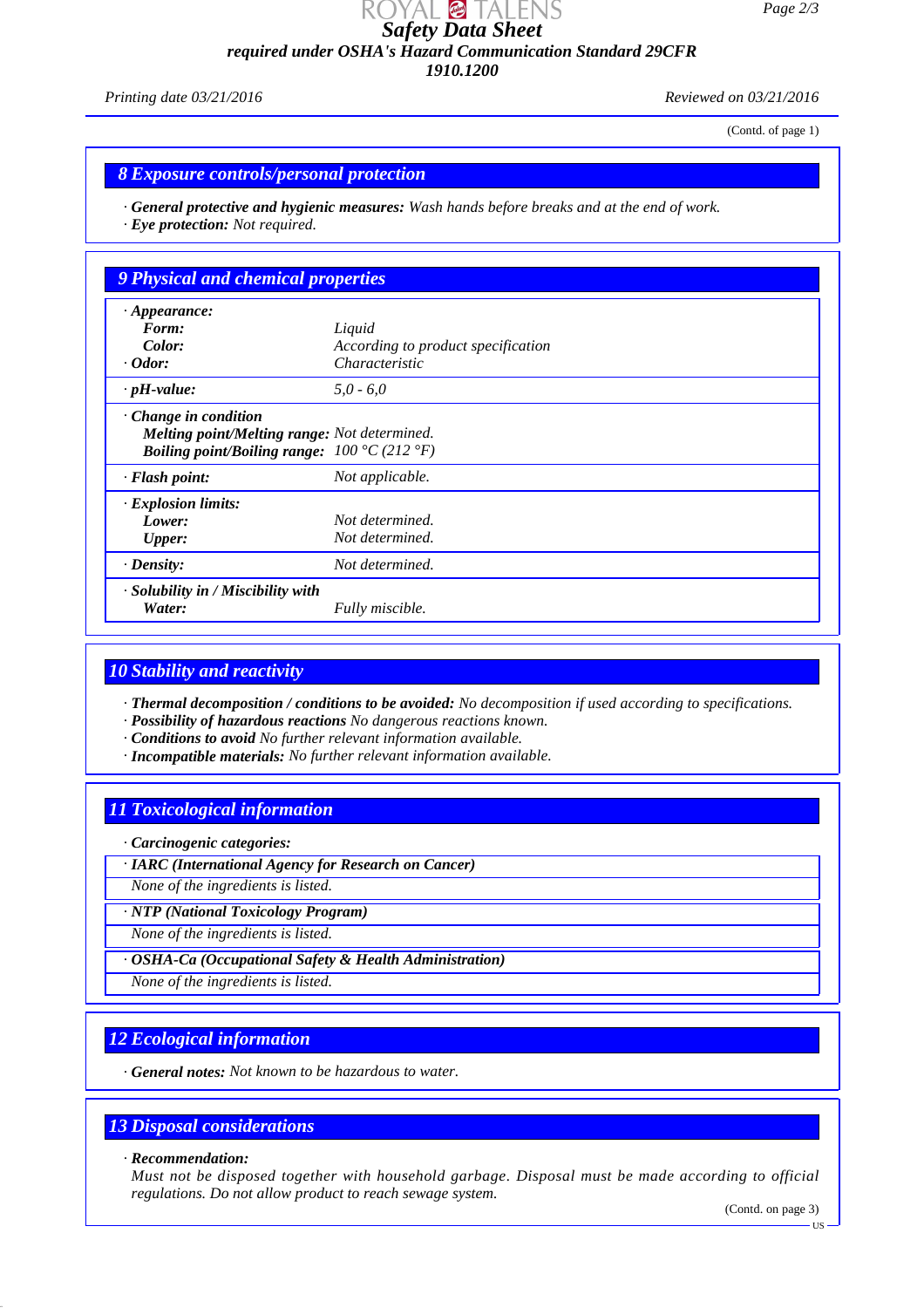*Page 2/3*

*Safety Data Sheet required under OSHA's Hazard Communication Standard 29CFR*

*1910.1200*

*Printing date 03/21/2016 Reviewed on 03/21/2016*

(Contd. of page 1)

### *8 Exposure controls/personal protection*

*· General protective and hygienic measures: Wash hands before breaks and at the end of work. · Eye protection: Not required.*

| $\cdot$ Appearance:                                                                                                                                   |                                    |  |
|-------------------------------------------------------------------------------------------------------------------------------------------------------|------------------------------------|--|
| Form:                                                                                                                                                 | Liquid                             |  |
| Color:                                                                                                                                                | According to product specification |  |
| $\cdot$ Odor:                                                                                                                                         | Characteristic                     |  |
| $\cdot$ pH-value:                                                                                                                                     | $5.0 - 6.0$                        |  |
| $\cdot$ Change in condition<br>Melting point/Melting range: Not determined.<br><b>Boiling point/Boiling range:</b> $100 \degree C$ (212 $\degree F$ ) |                                    |  |
| · Flash point:                                                                                                                                        | Not applicable.                    |  |
| $\cdot$ Explosion limits:                                                                                                                             |                                    |  |
| Lower:                                                                                                                                                | Not determined.                    |  |
| <b>Upper:</b>                                                                                                                                         | Not determined.                    |  |
|                                                                                                                                                       | Not determined.                    |  |
| $\cdot$ Density:<br>· Solubility in / Miscibility with                                                                                                |                                    |  |
| Water:                                                                                                                                                | Fully miscible.                    |  |

# *10 Stability and reactivity*

*· Thermal decomposition / conditions to be avoided: No decomposition if used according to specifications.*

- *· Possibility of hazardous reactions No dangerous reactions known.*
- *· Conditions to avoid No further relevant information available.*
- *· Incompatible materials: No further relevant information available.*

# *11 Toxicological information*

*· Carcinogenic categories:*

*· IARC (International Agency for Research on Cancer)*

*None of the ingredients is listed.*

*· NTP (National Toxicology Program)*

*None of the ingredients is listed.*

*· OSHA-Ca (Occupational Safety & Health Administration)*

*None of the ingredients is listed.*

# *12 Ecological information*

*· General notes: Not known to be hazardous to water.*

### *13 Disposal considerations*

#### *· Recommendation:*

*Must not be disposed together with household garbage. Disposal must be made according to official regulations. Do not allow product to reach sewage system.*

(Contd. on page 3)